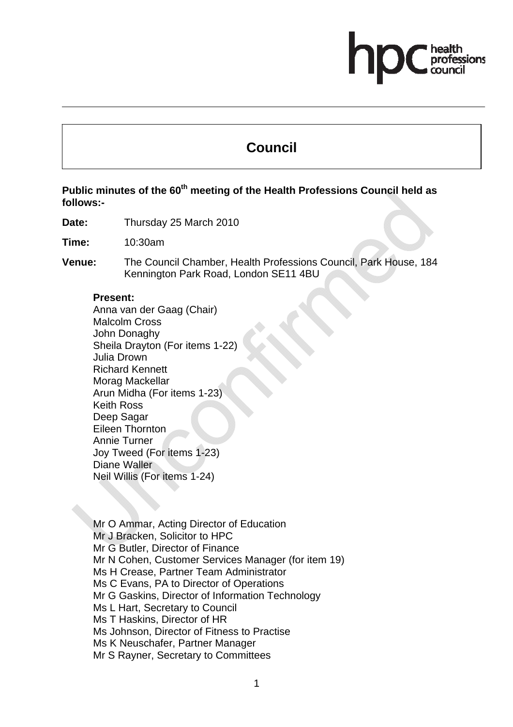# **Council**

# Public minutes of the 60<sup>th</sup> meeting of the Health Professions Council held as **follows:-**

**Date:** Thursday 25 March 2010

**Time:** 10:30am

**Venue:** The Council Chamber, Health Professions Council, Park House, 184 Kennington Park Road, London SE11 4BU

#### **Present:**

Anna van der Gaag (Chair) Malcolm Cross John Donaghy Sheila Drayton (For items 1-22) Julia Drown Richard Kennett Morag Mackellar Arun Midha (For items 1-23) Keith Ross Deep Sagar Eileen Thornton Annie Turner Joy Tweed (For items 1-23) Diane Waller Neil Willis (For items 1-24)

Mr O Ammar, Acting Director of Education Mr J Bracken, Solicitor to HPC Mr G Butler, Director of Finance Mr N Cohen, Customer Services Manager (for item 19) Ms H Crease, Partner Team Administrator Ms C Evans, PA to Director of Operations Mr G Gaskins, Director of Information Technology Ms L Hart, Secretary to Council Ms T Haskins, Director of HR Ms Johnson, Director of Fitness to Practise Ms K Neuschafer, Partner Manager Mr S Rayner, Secretary to Committees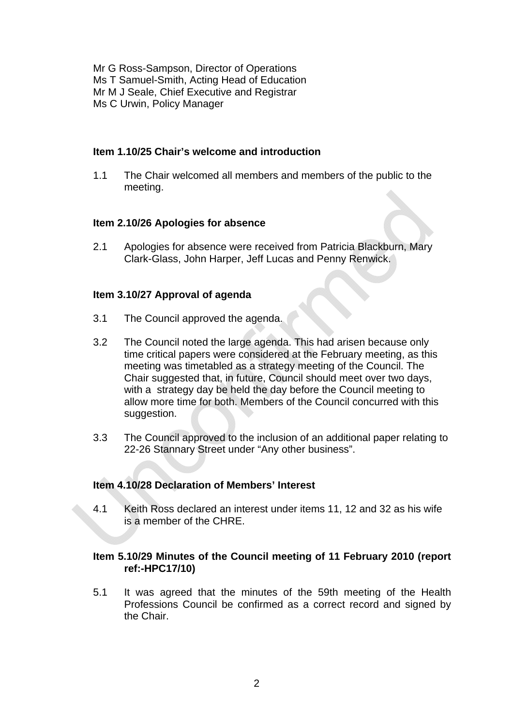Mr G Ross-Sampson, Director of Operations Ms T Samuel-Smith, Acting Head of Education Mr M J Seale, Chief Executive and Registrar Ms C Urwin, Policy Manager

#### **Item 1.10/25 Chair's welcome and introduction**

1.1 The Chair welcomed all members and members of the public to the meeting.

# **Item 2.10/26 Apologies for absence**

2.1 Apologies for absence were received from Patricia Blackburn, Mary Clark-Glass, John Harper, Jeff Lucas and Penny Renwick.

# **Item 3.10/27 Approval of agenda**

- 3.1 The Council approved the agenda.
- 3.2 The Council noted the large agenda. This had arisen because only time critical papers were considered at the February meeting, as this meeting was timetabled as a strategy meeting of the Council. The Chair suggested that, in future, Council should meet over two days, with a strategy day be held the day before the Council meeting to allow more time for both. Members of the Council concurred with this suggestion.
- 3.3 The Council approved to the inclusion of an additional paper relating to 22-26 Stannary Street under "Any other business".

# **Item 4.10/28 Declaration of Members' Interest**

4.1 Keith Ross declared an interest under items 11, 12 and 32 as his wife is a member of the CHRE.

# **Item 5.10/29 Minutes of the Council meeting of 11 February 2010 (report ref:-HPC17/10)**

5.1 It was agreed that the minutes of the 59th meeting of the Health Professions Council be confirmed as a correct record and signed by the Chair.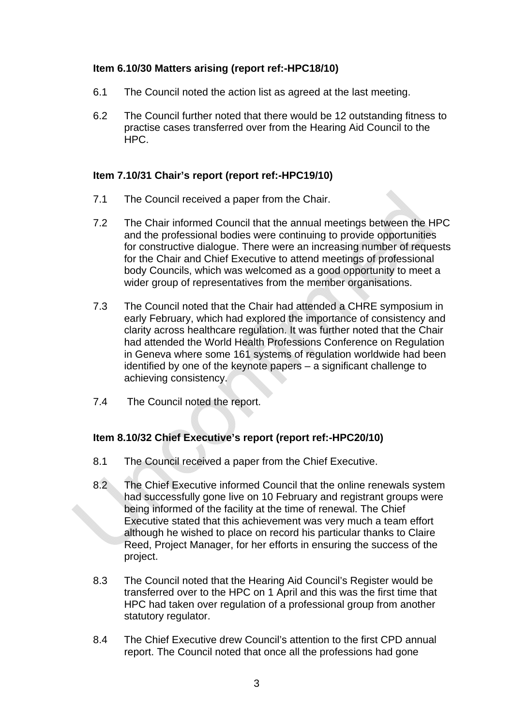# **Item 6.10/30 Matters arising (report ref:-HPC18/10)**

- 6.1 The Council noted the action list as agreed at the last meeting.
- 6.2 The Council further noted that there would be 12 outstanding fitness to practise cases transferred over from the Hearing Aid Council to the HPC.

# **Item 7.10/31 Chair's report (report ref:-HPC19/10)**

- 7.1 The Council received a paper from the Chair.
- 7.2 The Chair informed Council that the annual meetings between the HPC and the professional bodies were continuing to provide opportunities for constructive dialogue. There were an increasing number of requests for the Chair and Chief Executive to attend meetings of professional body Councils, which was welcomed as a good opportunity to meet a wider group of representatives from the member organisations.
- 7.3 The Council noted that the Chair had attended a CHRE symposium in early February, which had explored the importance of consistency and clarity across healthcare regulation. It was further noted that the Chair had attended the World Health Professions Conference on Regulation in Geneva where some 161 systems of regulation worldwide had been identified by one of the keynote papers – a significant challenge to achieving consistency.
- 7.4 The Council noted the report.

# **Item 8.10/32 Chief Executive's report (report ref:-HPC20/10)**

- 8.1 The Council received a paper from the Chief Executive.
- 8.2 The Chief Executive informed Council that the online renewals system had successfully gone live on 10 February and registrant groups were being informed of the facility at the time of renewal. The Chief Executive stated that this achievement was very much a team effort although he wished to place on record his particular thanks to Claire Reed, Project Manager, for her efforts in ensuring the success of the project.
- 8.3 The Council noted that the Hearing Aid Council's Register would be transferred over to the HPC on 1 April and this was the first time that HPC had taken over regulation of a professional group from another statutory regulator.
- 8.4 The Chief Executive drew Council's attention to the first CPD annual report. The Council noted that once all the professions had gone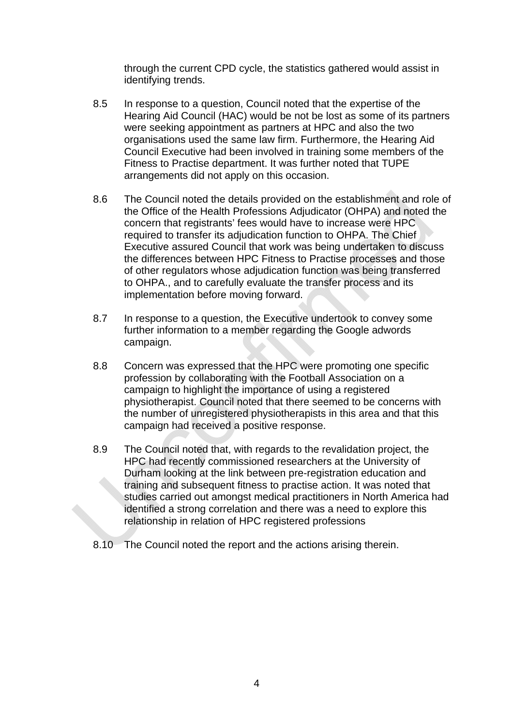through the current CPD cycle, the statistics gathered would assist in identifying trends.

- 8.5 In response to a question, Council noted that the expertise of the Hearing Aid Council (HAC) would be not be lost as some of its partners were seeking appointment as partners at HPC and also the two organisations used the same law firm. Furthermore, the Hearing Aid Council Executive had been involved in training some members of the Fitness to Practise department. It was further noted that TUPE arrangements did not apply on this occasion.
- 8.6 The Council noted the details provided on the establishment and role of the Office of the Health Professions Adjudicator (OHPA) and noted the concern that registrants' fees would have to increase were HPC required to transfer its adjudication function to OHPA. The Chief Executive assured Council that work was being undertaken to discuss the differences between HPC Fitness to Practise processes and those of other regulators whose adjudication function was being transferred to OHPA., and to carefully evaluate the transfer process and its implementation before moving forward.
- 8.7 In response to a question, the Executive undertook to convey some further information to a member regarding the Google adwords campaign.
- 8.8 Concern was expressed that the HPC were promoting one specific profession by collaborating with the Football Association on a campaign to highlight the importance of using a registered physiotherapist. Council noted that there seemed to be concerns with the number of unregistered physiotherapists in this area and that this campaign had received a positive response.
- 8.9 The Council noted that, with regards to the revalidation project, the HPC had recently commissioned researchers at the University of Durham looking at the link between pre-registration education and training and subsequent fitness to practise action. It was noted that studies carried out amongst medical practitioners in North America had identified a strong correlation and there was a need to explore this relationship in relation of HPC registered professions
- 8.10 The Council noted the report and the actions arising therein.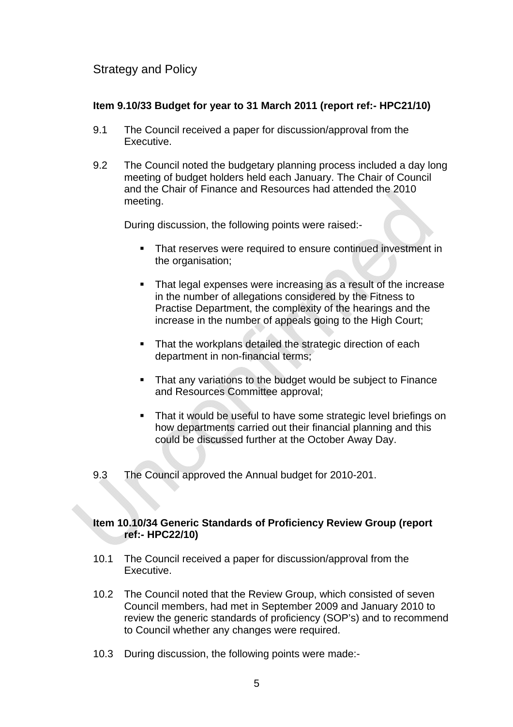# Strategy and Policy

# **Item 9.10/33 Budget for year to 31 March 2011 (report ref:- HPC21/10)**

- 9.1 The Council received a paper for discussion/approval from the Executive.
- 9.2 The Council noted the budgetary planning process included a day long meeting of budget holders held each January. The Chair of Council and the Chair of Finance and Resources had attended the 2010 meeting.

During discussion, the following points were raised:-

- **That reserves were required to ensure continued investment in** the organisation;
- That legal expenses were increasing as a result of the increase in the number of allegations considered by the Fitness to Practise Department, the complexity of the hearings and the increase in the number of appeals going to the High Court;
- That the workplans detailed the strategic direction of each department in non-financial terms;
- That any variations to the budget would be subject to Finance and Resources Committee approval;
- **That it would be useful to have some strategic level briefings on** how departments carried out their financial planning and this could be discussed further at the October Away Day.

9.3 The Council approved the Annual budget for 2010-201.

# **Item 10.10/34 Generic Standards of Proficiency Review Group (report ref:- HPC22/10)**

- 10.1 The Council received a paper for discussion/approval from the Executive.
- 10.2 The Council noted that the Review Group, which consisted of seven Council members, had met in September 2009 and January 2010 to review the generic standards of proficiency (SOP's) and to recommend to Council whether any changes were required.
- 10.3 During discussion, the following points were made:-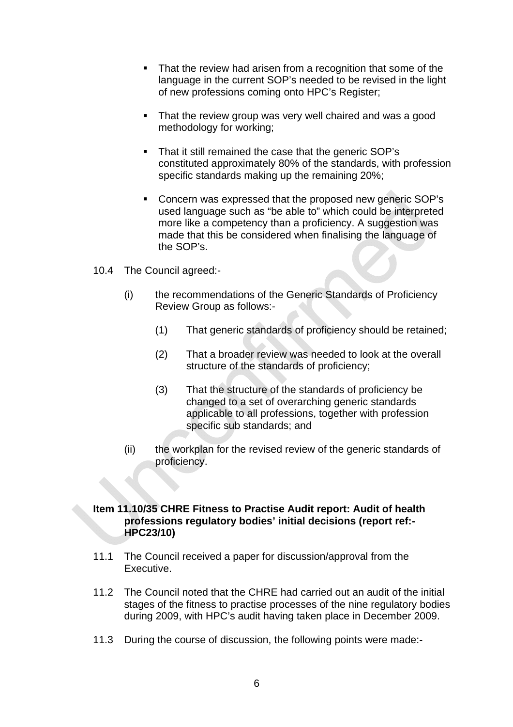- That the review had arisen from a recognition that some of the language in the current SOP's needed to be revised in the light of new professions coming onto HPC's Register;
- That the review group was very well chaired and was a good methodology for working;
- That it still remained the case that the generic SOP's constituted approximately 80% of the standards, with profession specific standards making up the remaining 20%;
- Concern was expressed that the proposed new generic SOP's used language such as "be able to" which could be interpreted more like a competency than a proficiency. A suggestion was made that this be considered when finalising the language of the SOP's.
- 10.4 The Council agreed:-
	- (i) the recommendations of the Generic Standards of Proficiency Review Group as follows:-
		- (1) That generic standards of proficiency should be retained;
		- (2) That a broader review was needed to look at the overall structure of the standards of proficiency;
		- (3) That the structure of the standards of proficiency be changed to a set of overarching generic standards applicable to all professions, together with profession specific sub standards; and
	- (ii) the workplan for the revised review of the generic standards of proficiency.

# **Item 11.10/35 CHRE Fitness to Practise Audit report: Audit of health professions regulatory bodies' initial decisions (report ref:- HPC23/10)**

- 11.1 The Council received a paper for discussion/approval from the Executive.
- 11.2 The Council noted that the CHRE had carried out an audit of the initial stages of the fitness to practise processes of the nine regulatory bodies during 2009, with HPC's audit having taken place in December 2009.
- 11.3 During the course of discussion, the following points were made:-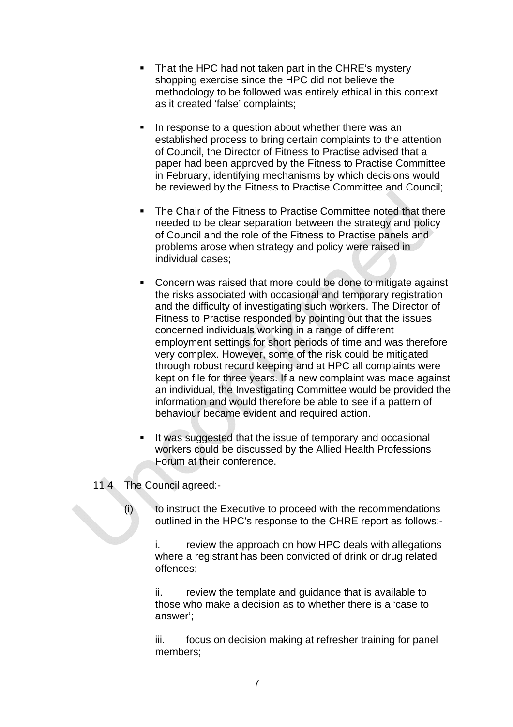- That the HPC had not taken part in the CHRE's mystery shopping exercise since the HPC did not believe the methodology to be followed was entirely ethical in this context as it created 'false' complaints;
- In response to a question about whether there was an established process to bring certain complaints to the attention of Council, the Director of Fitness to Practise advised that a paper had been approved by the Fitness to Practise Committee in February, identifying mechanisms by which decisions would be reviewed by the Fitness to Practise Committee and Council;
- **The Chair of the Fitness to Practise Committee noted that there** needed to be clear separation between the strategy and policy of Council and the role of the Fitness to Practise panels and problems arose when strategy and policy were raised in individual cases;
- Concern was raised that more could be done to mitigate against the risks associated with occasional and temporary registration and the difficulty of investigating such workers. The Director of Fitness to Practise responded by pointing out that the issues concerned individuals working in a range of different employment settings for short periods of time and was therefore very complex. However, some of the risk could be mitigated through robust record keeping and at HPC all complaints were kept on file for three years. If a new complaint was made against an individual, the Investigating Committee would be provided the information and would therefore be able to see if a pattern of behaviour became evident and required action.
- If was suggested that the issue of temporary and occasional workers could be discussed by the Allied Health Professions Forum at their conference.

11.4 The Council agreed:-

(i) to instruct the Executive to proceed with the recommendations outlined in the HPC's response to the CHRE report as follows:-

i. review the approach on how HPC deals with allegations where a registrant has been convicted of drink or drug related offences;

ii. review the template and guidance that is available to those who make a decision as to whether there is a 'case to answer';

iii. focus on decision making at refresher training for panel members;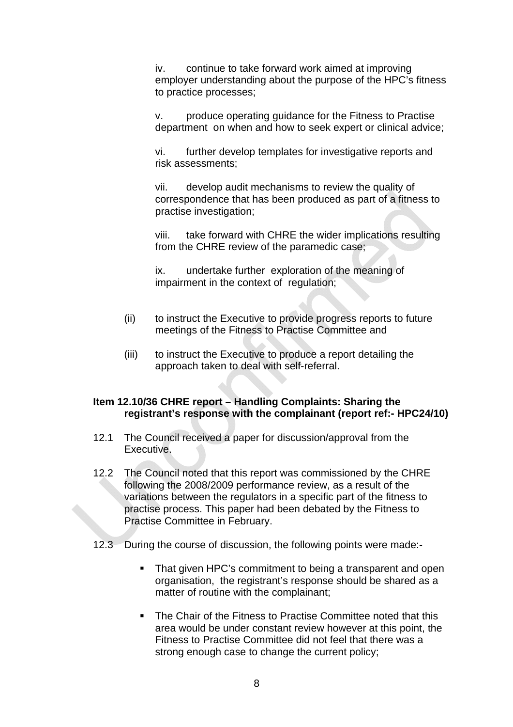iv. continue to take forward work aimed at improving employer understanding about the purpose of the HPC's fitness to practice processes;

v. produce operating guidance for the Fitness to Practise department on when and how to seek expert or clinical advice;

vi. further develop templates for investigative reports and risk assessments;

vii. develop audit mechanisms to review the quality of correspondence that has been produced as part of a fitness to practise investigation;

viii. take forward with CHRE the wider implications resulting from the CHRE review of the paramedic case;

ix. undertake further exploration of the meaning of impairment in the context of regulation;

- (ii) to instruct the Executive to provide progress reports to future meetings of the Fitness to Practise Committee and
- (iii) to instruct the Executive to produce a report detailing the approach taken to deal with self-referral.

#### **Item 12.10/36 CHRE report – Handling Complaints: Sharing the registrant's response with the complainant (report ref:- HPC24/10)**

- 12.1 The Council received a paper for discussion/approval from the Executive.
- 12.2 The Council noted that this report was commissioned by the CHRE following the 2008/2009 performance review, as a result of the variations between the regulators in a specific part of the fitness to practise process. This paper had been debated by the Fitness to Practise Committee in February.
- 12.3 During the course of discussion, the following points were made:-
	- That given HPC's commitment to being a transparent and open organisation, the registrant's response should be shared as a matter of routine with the complainant;
	- The Chair of the Fitness to Practise Committee noted that this area would be under constant review however at this point, the Fitness to Practise Committee did not feel that there was a strong enough case to change the current policy;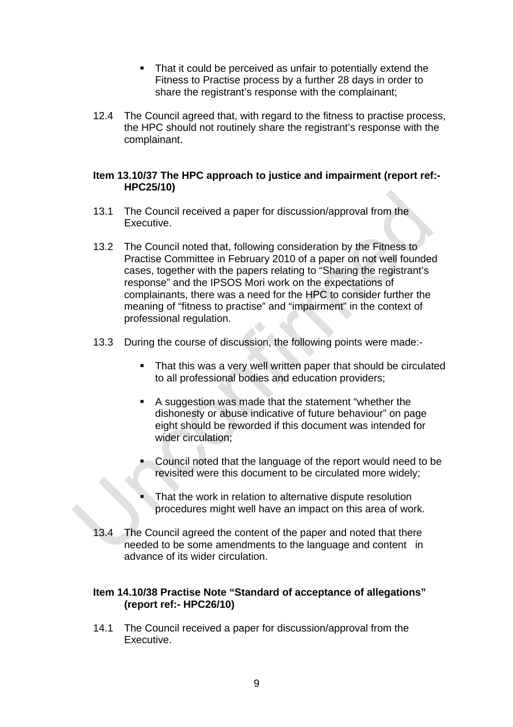- That it could be perceived as unfair to potentially extend the Fitness to Practise process by a further 28 days in order to share the registrant's response with the complainant;
- 12.4 The Council agreed that, with regard to the fitness to practise process, the HPC should not routinely share the registrant's response with the complainant.

# **Item 13.10/37 The HPC approach to justice and impairment (report ref:- HPC25/10)**

- 13.1 The Council received a paper for discussion/approval from the Executive.
- 13.2 The Council noted that, following consideration by the Fitness to Practise Committee in February 2010 of a paper on not well founded cases, together with the papers relating to "Sharing the registrant's response" and the IPSOS Mori work on the expectations of complainants, there was a need for the HPC to consider further the meaning of "fitness to practise" and "impairment" in the context of professional regulation.
- 13.3 During the course of discussion, the following points were made:-
	- That this was a very well written paper that should be circulated to all professional bodies and education providers;
	- A suggestion was made that the statement "whether the dishonesty or abuse indicative of future behaviour" on page eight should be reworded if this document was intended for wider circulation;
	- Council noted that the language of the report would need to be revisited were this document to be circulated more widely;
	- That the work in relation to alternative dispute resolution procedures might well have an impact on this area of work.
- 13.4 The Council agreed the content of the paper and noted that there needed to be some amendments to the language and content in advance of its wider circulation.

# **Item 14.10/38 Practise Note "Standard of acceptance of allegations" (report ref:- HPC26/10)**

14.1 The Council received a paper for discussion/approval from the Executive.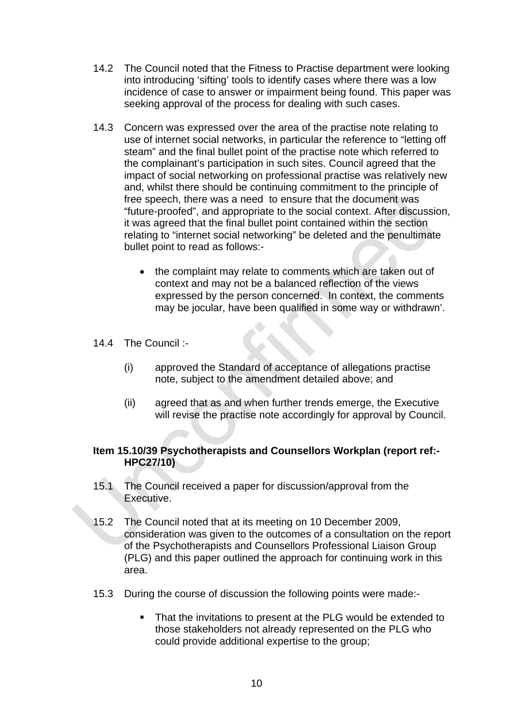- 14.2 The Council noted that the Fitness to Practise department were looking into introducing 'sifting' tools to identify cases where there was a low incidence of case to answer or impairment being found. This paper was seeking approval of the process for dealing with such cases.
- 14.3 Concern was expressed over the area of the practise note relating to use of internet social networks, in particular the reference to "letting off steam" and the final bullet point of the practise note which referred to the complainant's participation in such sites. Council agreed that the impact of social networking on professional practise was relatively new and, whilst there should be continuing commitment to the principle of free speech, there was a need to ensure that the document was "future-proofed", and appropriate to the social context. After discussion, it was agreed that the final bullet point contained within the section relating to "internet social networking" be deleted and the penultimate bullet point to read as follows:-
	- the complaint may relate to comments which are taken out of context and may not be a balanced reflection of the views expressed by the person concerned. In context, the comments may be jocular, have been qualified in some way or withdrawn'.
- 14.4 The Council :-
	- (i) approved the Standard of acceptance of allegations practise note, subject to the amendment detailed above; and
	- (ii) agreed that as and when further trends emerge, the Executive will revise the practise note accordingly for approval by Council.

# **Item 15.10/39 Psychotherapists and Counsellors Workplan (report ref:- HPC27/10)**

- 15.1 The Council received a paper for discussion/approval from the Executive.
- 15.2 The Council noted that at its meeting on 10 December 2009, consideration was given to the outcomes of a consultation on the report of the Psychotherapists and Counsellors Professional Liaison Group (PLG) and this paper outlined the approach for continuing work in this area.
- 15.3 During the course of discussion the following points were made:-
	- That the invitations to present at the PLG would be extended to those stakeholders not already represented on the PLG who could provide additional expertise to the group;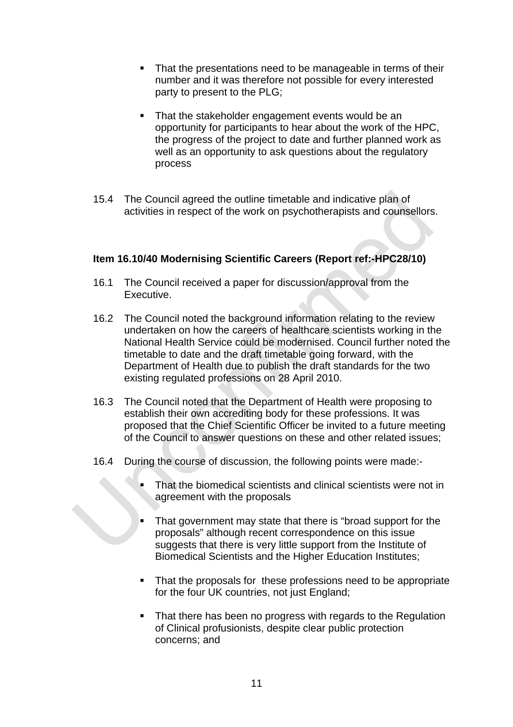- That the presentations need to be manageable in terms of their number and it was therefore not possible for every interested party to present to the PLG;
- That the stakeholder engagement events would be an opportunity for participants to hear about the work of the HPC, the progress of the project to date and further planned work as well as an opportunity to ask questions about the regulatory process
- 15.4 The Council agreed the outline timetable and indicative plan of activities in respect of the work on psychotherapists and counsellors.

# **Item 16.10/40 Modernising Scientific Careers (Report ref:-HPC28/10)**

- 16.1 The Council received a paper for discussion/approval from the Executive.
- 16.2 The Council noted the background information relating to the review undertaken on how the careers of healthcare scientists working in the National Health Service could be modernised. Council further noted the timetable to date and the draft timetable going forward, with the Department of Health due to publish the draft standards for the two existing regulated professions on 28 April 2010.
- 16.3 The Council noted that the Department of Health were proposing to establish their own accrediting body for these professions. It was proposed that the Chief Scientific Officer be invited to a future meeting of the Council to answer questions on these and other related issues;
- 16.4 During the course of discussion, the following points were made:-
	- That the biomedical scientists and clinical scientists were not in agreement with the proposals
	- That government may state that there is "broad support for the proposals" although recent correspondence on this issue suggests that there is very little support from the Institute of Biomedical Scientists and the Higher Education Institutes;
	- That the proposals for these professions need to be appropriate for the four UK countries, not just England;
	- That there has been no progress with regards to the Regulation of Clinical profusionists, despite clear public protection concerns; and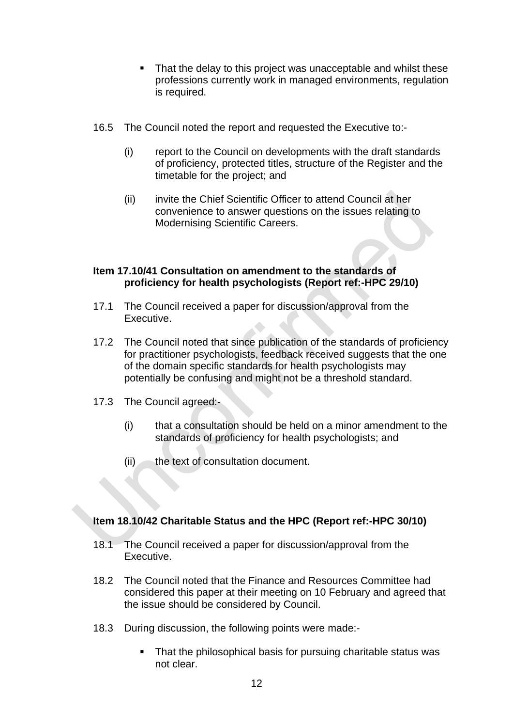- That the delay to this project was unacceptable and whilst these professions currently work in managed environments, regulation is required.
- 16.5 The Council noted the report and requested the Executive to:-
	- (i) report to the Council on developments with the draft standards of proficiency, protected titles, structure of the Register and the timetable for the project; and
	- (ii) invite the Chief Scientific Officer to attend Council at her convenience to answer questions on the issues relating to Modernising Scientific Careers.

# **Item 17.10/41 Consultation on amendment to the standards of proficiency for health psychologists (Report ref:-HPC 29/10)**

- 17.1 The Council received a paper for discussion/approval from the Executive.
- 17.2 The Council noted that since publication of the standards of proficiency for practitioner psychologists, feedback received suggests that the one of the domain specific standards for health psychologists may potentially be confusing and might not be a threshold standard.
- 17.3 The Council agreed:-
	- (i) that a consultation should be held on a minor amendment to the standards of proficiency for health psychologists; and
	- $(ii)$  the text of consultation document.

# **Item 18.10/42 Charitable Status and the HPC (Report ref:-HPC 30/10)**

- 18.1 The Council received a paper for discussion/approval from the Executive.
- 18.2 The Council noted that the Finance and Resources Committee had considered this paper at their meeting on 10 February and agreed that the issue should be considered by Council.
- 18.3 During discussion, the following points were made:-
	- That the philosophical basis for pursuing charitable status was not clear.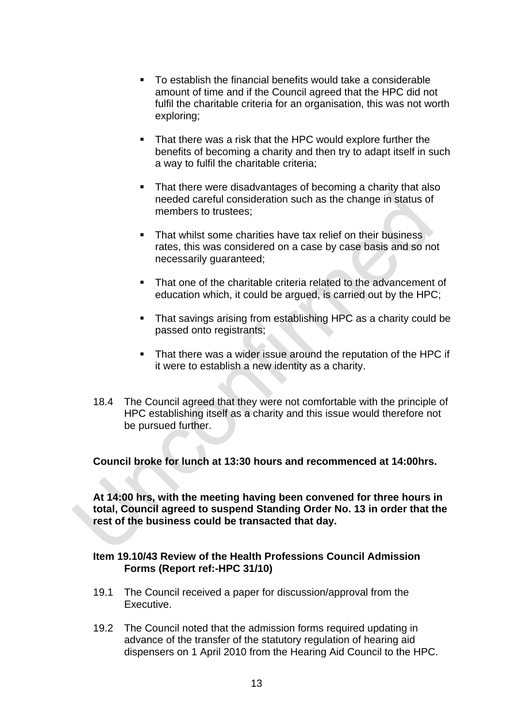- To establish the financial benefits would take a considerable amount of time and if the Council agreed that the HPC did not fulfil the charitable criteria for an organisation, this was not worth exploring;
- That there was a risk that the HPC would explore further the benefits of becoming a charity and then try to adapt itself in such a way to fulfil the charitable criteria;
- That there were disadvantages of becoming a charity that also needed careful consideration such as the change in status of members to trustees;
- That whilst some charities have tax relief on their business rates, this was considered on a case by case basis and so not necessarily guaranteed;
- That one of the charitable criteria related to the advancement of education which, it could be argued, is carried out by the HPC;
- That savings arising from establishing HPC as a charity could be passed onto registrants;
- That there was a wider issue around the reputation of the HPC if it were to establish a new identity as a charity.
- 18.4 The Council agreed that they were not comfortable with the principle of HPC establishing itself as a charity and this issue would therefore not be pursued further.

**Council broke for lunch at 13:30 hours and recommenced at 14:00hrs.** 

**At 14:00 hrs, with the meeting having been convened for three hours in total, Council agreed to suspend Standing Order No. 13 in order that the rest of the business could be transacted that day.** 

# **Item 19.10/43 Review of the Health Professions Council Admission Forms (Report ref:-HPC 31/10)**

- 19.1 The Council received a paper for discussion/approval from the Executive.
- 19.2 The Council noted that the admission forms required updating in advance of the transfer of the statutory regulation of hearing aid dispensers on 1 April 2010 from the Hearing Aid Council to the HPC.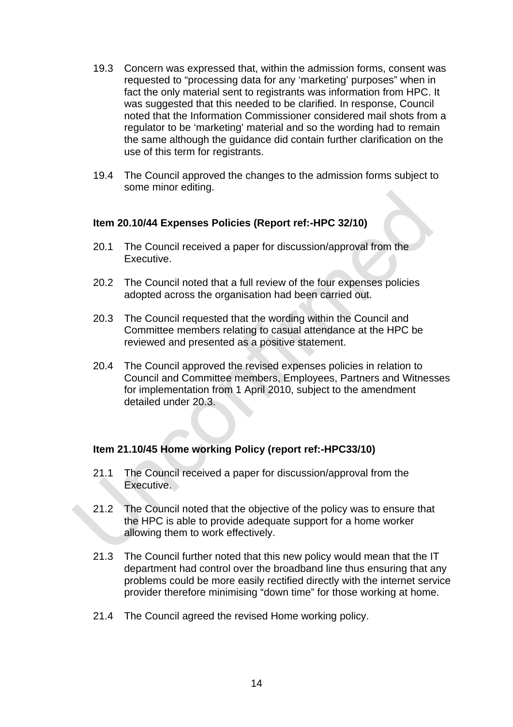- 19.3 Concern was expressed that, within the admission forms, consent was requested to "processing data for any 'marketing' purposes" when in fact the only material sent to registrants was information from HPC. It was suggested that this needed to be clarified. In response, Council noted that the Information Commissioner considered mail shots from a regulator to be 'marketing' material and so the wording had to remain the same although the guidance did contain further clarification on the use of this term for registrants.
- 19.4 The Council approved the changes to the admission forms subject to some minor editing.

# **Item 20.10/44 Expenses Policies (Report ref:-HPC 32/10)**

- 20.1 The Council received a paper for discussion/approval from the Executive.
- 20.2 The Council noted that a full review of the four expenses policies adopted across the organisation had been carried out.
- 20.3 The Council requested that the wording within the Council and Committee members relating to casual attendance at the HPC be reviewed and presented as a positive statement.
- 20.4 The Council approved the revised expenses policies in relation to Council and Committee members, Employees, Partners and Witnesses for implementation from 1 April 2010, subject to the amendment detailed under 20.3.

# **Item 21.10/45 Home working Policy (report ref:-HPC33/10)**

- 21.1 The Council received a paper for discussion/approval from the Executive.
- 21.2 The Council noted that the objective of the policy was to ensure that the HPC is able to provide adequate support for a home worker allowing them to work effectively.
- 21.3 The Council further noted that this new policy would mean that the IT department had control over the broadband line thus ensuring that any problems could be more easily rectified directly with the internet service provider therefore minimising "down time" for those working at home.
- 21.4 The Council agreed the revised Home working policy.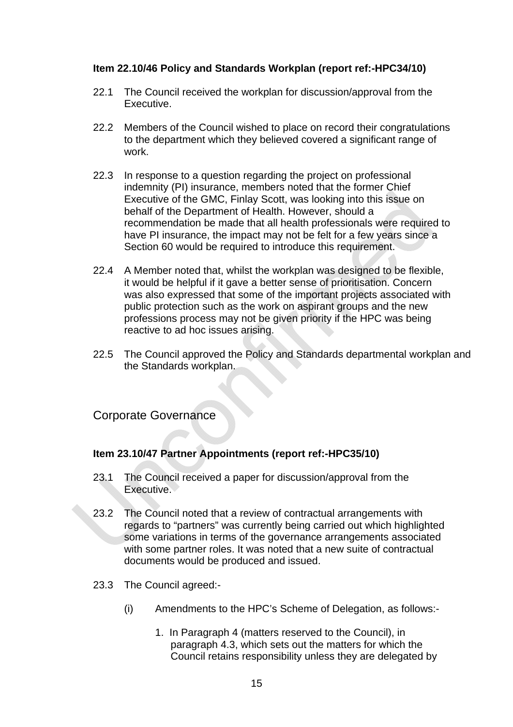# **Item 22.10/46 Policy and Standards Workplan (report ref:-HPC34/10)**

- 22.1 The Council received the workplan for discussion/approval from the Executive.
- 22.2 Members of the Council wished to place on record their congratulations to the department which they believed covered a significant range of work.
- 22.3 In response to a question regarding the project on professional indemnity (PI) insurance, members noted that the former Chief Executive of the GMC, Finlay Scott, was looking into this issue on behalf of the Department of Health. However, should a recommendation be made that all health professionals were required to have PI insurance, the impact may not be felt for a few years since a Section 60 would be required to introduce this requirement.
- 22.4 A Member noted that, whilst the workplan was designed to be flexible, it would be helpful if it gave a better sense of prioritisation. Concern was also expressed that some of the important projects associated with public protection such as the work on aspirant groups and the new professions process may not be given priority if the HPC was being reactive to ad hoc issues arising.
- 22.5 The Council approved the Policy and Standards departmental workplan and the Standards workplan.

# Corporate Governance

# **Item 23.10/47 Partner Appointments (report ref:-HPC35/10)**

- 23.1 The Council received a paper for discussion/approval from the Executive.
- 23.2 The Council noted that a review of contractual arrangements with regards to "partners" was currently being carried out which highlighted some variations in terms of the governance arrangements associated with some partner roles. It was noted that a new suite of contractual documents would be produced and issued.
- 23.3 The Council agreed:-
	- (i) Amendments to the HPC's Scheme of Delegation, as follows:-
		- 1. In Paragraph 4 (matters reserved to the Council), in paragraph 4.3, which sets out the matters for which the Council retains responsibility unless they are delegated by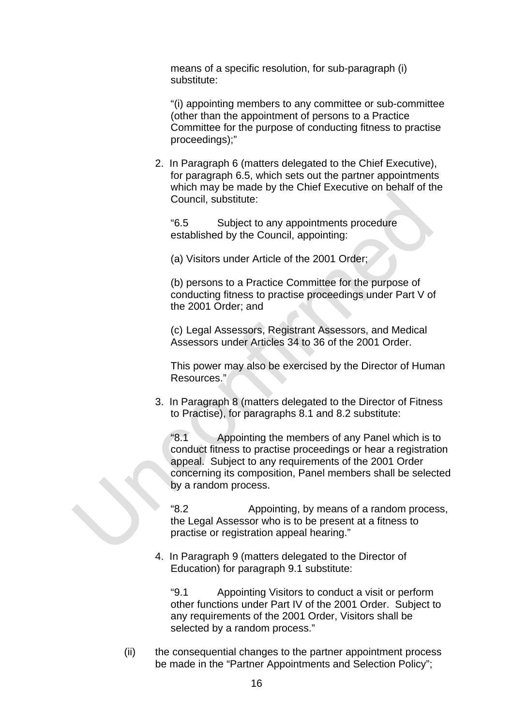means of a specific resolution, for sub-paragraph (i) substitute:

"(i) appointing members to any committee or sub-committee (other than the appointment of persons to a Practice Committee for the purpose of conducting fitness to practise proceedings);"

2. In Paragraph 6 (matters delegated to the Chief Executive), for paragraph 6.5, which sets out the partner appointments which may be made by the Chief Executive on behalf of the Council, substitute:

"6.5 Subject to any appointments procedure established by the Council, appointing:

(a) Visitors under Article of the 2001 Order;

(b) persons to a Practice Committee for the purpose of conducting fitness to practise proceedings under Part V of the 2001 Order; and

(c) Legal Assessors, Registrant Assessors, and Medical Assessors under Articles 34 to 36 of the 2001 Order.

This power may also be exercised by the Director of Human Resources."

3. In Paragraph 8 (matters delegated to the Director of Fitness to Practise), for paragraphs 8.1 and 8.2 substitute:

"8.1 Appointing the members of any Panel which is to conduct fitness to practise proceedings or hear a registration appeal. Subject to any requirements of the 2001 Order concerning its composition, Panel members shall be selected by a random process.

"8.2 Appointing, by means of a random process, the Legal Assessor who is to be present at a fitness to practise or registration appeal hearing."

4. In Paragraph 9 (matters delegated to the Director of Education) for paragraph 9.1 substitute:

"9.1 Appointing Visitors to conduct a visit or perform other functions under Part IV of the 2001 Order. Subject to any requirements of the 2001 Order, Visitors shall be selected by a random process."

(ii) the consequential changes to the partner appointment process be made in the "Partner Appointments and Selection Policy";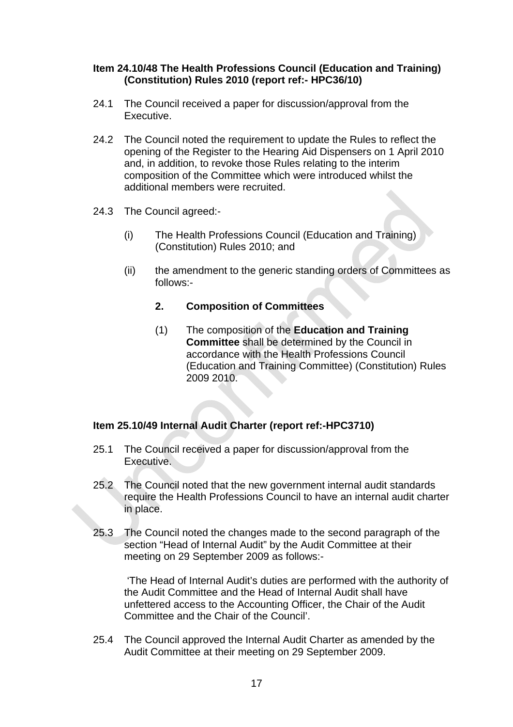# **Item 24.10/48 The Health Professions Council (Education and Training) (Constitution) Rules 2010 (report ref:- HPC36/10)**

- 24.1 The Council received a paper for discussion/approval from the Executive.
- 24.2 The Council noted the requirement to update the Rules to reflect the opening of the Register to the Hearing Aid Dispensers on 1 April 2010 and, in addition, to revoke those Rules relating to the interim composition of the Committee which were introduced whilst the additional members were recruited.
- 24.3 The Council agreed:-
	- (i) The Health Professions Council (Education and Training) (Constitution) Rules 2010; and
	- (ii) the amendment to the generic standing orders of Committees as follows:-

# **2. Composition of Committees**

(1) The composition of the **Education and Training Committee** shall be determined by the Council in accordance with the Health Professions Council (Education and Training Committee) (Constitution) Rules 2009 2010.

# **Item 25.10/49 Internal Audit Charter (report ref:-HPC3710)**

- 25.1 The Council received a paper for discussion/approval from the Executive.
- 25.2 The Council noted that the new government internal audit standards require the Health Professions Council to have an internal audit charter in place.
- 25.3 The Council noted the changes made to the second paragraph of the section "Head of Internal Audit" by the Audit Committee at their meeting on 29 September 2009 as follows:-

 'The Head of Internal Audit's duties are performed with the authority of the Audit Committee and the Head of Internal Audit shall have unfettered access to the Accounting Officer, the Chair of the Audit Committee and the Chair of the Council'.

25.4 The Council approved the Internal Audit Charter as amended by the Audit Committee at their meeting on 29 September 2009.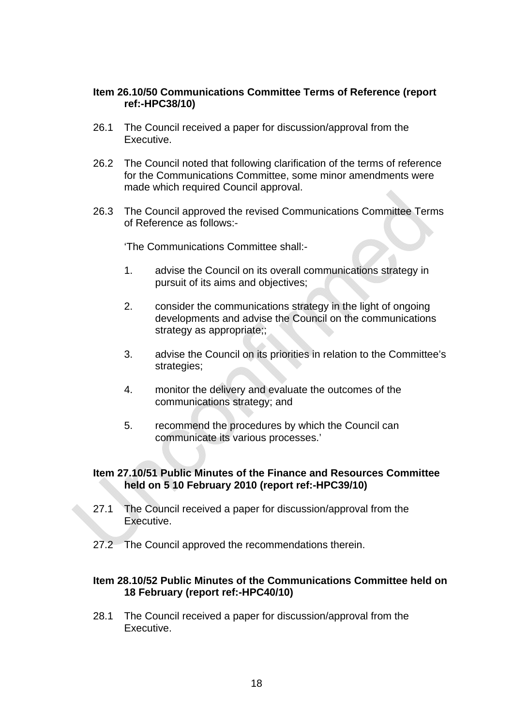#### **Item 26.10/50 Communications Committee Terms of Reference (report ref:-HPC38/10)**

- 26.1 The Council received a paper for discussion/approval from the Executive.
- 26.2 The Council noted that following clarification of the terms of reference for the Communications Committee, some minor amendments were made which required Council approval.
- 26.3 The Council approved the revised Communications Committee Terms of Reference as follows:-

'The Communications Committee shall:-

- 1. advise the Council on its overall communications strategy in pursuit of its aims and objectives;
- 2. consider the communications strategy in the light of ongoing developments and advise the Council on the communications strategy as appropriate;;
- 3. advise the Council on its priorities in relation to the Committee's strategies;
- 4. monitor the delivery and evaluate the outcomes of the communications strategy; and
- 5. recommend the procedures by which the Council can communicate its various processes.'

# **Item 27.10/51 Public Minutes of the Finance and Resources Committee held on 5 10 February 2010 (report ref:-HPC39/10)**

- 27.1 The Council received a paper for discussion/approval from the Executive.
- 27.2 The Council approved the recommendations therein.

# **Item 28.10/52 Public Minutes of the Communications Committee held on 18 February (report ref:-HPC40/10)**

28.1 The Council received a paper for discussion/approval from the Executive.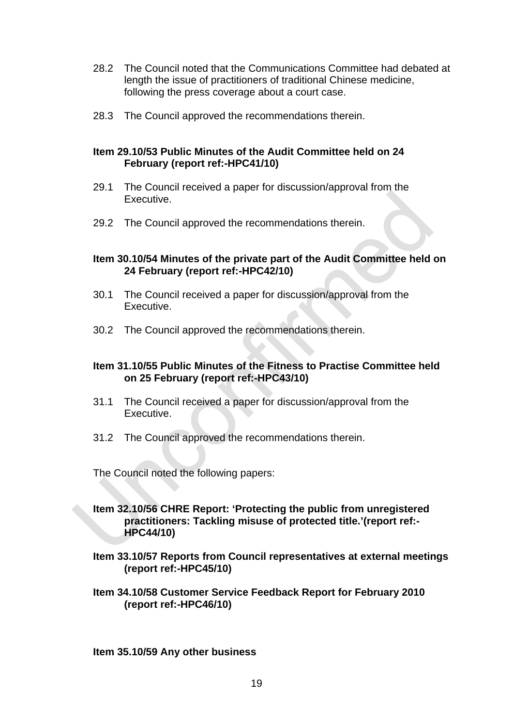- 28.2 The Council noted that the Communications Committee had debated at length the issue of practitioners of traditional Chinese medicine, following the press coverage about a court case.
- 28.3 The Council approved the recommendations therein.

# **Item 29.10/53 Public Minutes of the Audit Committee held on 24 February (report ref:-HPC41/10)**

- 29.1 The Council received a paper for discussion/approval from the Executive.
- 29.2 The Council approved the recommendations therein.

# **Item 30.10/54 Minutes of the private part of the Audit Committee held on 24 February (report ref:-HPC42/10)**

- 30.1 The Council received a paper for discussion/approval from the Executive.
- 30.2 The Council approved the recommendations therein.

# **Item 31.10/55 Public Minutes of the Fitness to Practise Committee held on 25 February (report ref:-HPC43/10)**

- 31.1 The Council received a paper for discussion/approval from the Executive.
- 31.2 The Council approved the recommendations therein.

The Council noted the following papers:

# **Item 32.10/56 CHRE Report: 'Protecting the public from unregistered practitioners: Tackling misuse of protected title.'(report ref:- HPC44/10)**

- **Item 33.10/57 Reports from Council representatives at external meetings (report ref:-HPC45/10)**
- **Item 34.10/58 Customer Service Feedback Report for February 2010 (report ref:-HPC46/10)**

**Item 35.10/59 Any other business**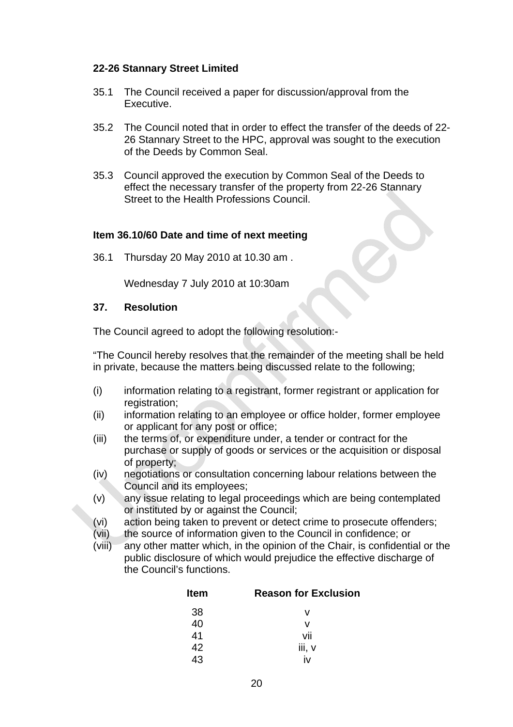# **22-26 Stannary Street Limited**

- 35.1 The Council received a paper for discussion/approval from the Executive.
- 35.2 The Council noted that in order to effect the transfer of the deeds of 22- 26 Stannary Street to the HPC, approval was sought to the execution of the Deeds by Common Seal.
- 35.3 Council approved the execution by Common Seal of the Deeds to effect the necessary transfer of the property from 22-26 Stannary Street to the Health Professions Council.

#### **Item 36.10/60 Date and time of next meeting**

36.1 Thursday 20 May 2010 at 10.30 am .

Wednesday 7 July 2010 at 10:30am

#### **37. Resolution**

The Council agreed to adopt the following resolution:-

"The Council hereby resolves that the remainder of the meeting shall be held in private, because the matters being discussed relate to the following;

- (i) information relating to a registrant, former registrant or application for registration;
- (ii) information relating to an employee or office holder, former employee or applicant for any post or office;
- (iii) the terms of, or expenditure under, a tender or contract for the purchase or supply of goods or services or the acquisition or disposal of property;
- (iv) negotiations or consultation concerning labour relations between the Council and its employees;
- (v) any issue relating to legal proceedings which are being contemplated or instituted by or against the Council;
- (vi) action being taken to prevent or detect crime to prosecute offenders;
- (vii) the source of information given to the Council in confidence; or
- (viii) any other matter which, in the opinion of the Chair, is confidential or the public disclosure of which would prejudice the effective discharge of the Council's functions.

| Item | <b>Reason for Exclusion</b> |
|------|-----------------------------|
| 38   | v                           |
| 40   | v                           |
| 41   | vii                         |
| 42   | iii, v                      |
| 12   |                             |